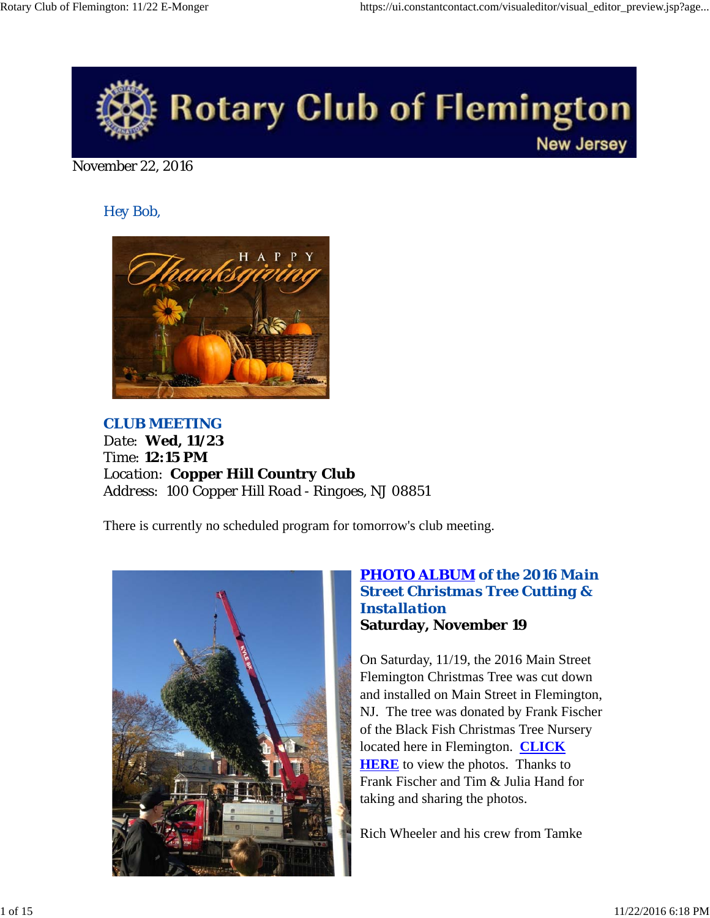

November 22, 2016

*Hey Bob,* 



*CLUB MEETING Date: Wed, 11/23 Time: 12:15 PM Location: Copper Hill Country Club Address: 100 Copper Hill Road - Ringoes, NJ 08851*

There is currently no scheduled program for tomorrow's club meeting.



## *PHOTO ALBUM of the 2016 Main Street Christmas Tree Cutting & Installation* **Saturday, November 19**

On Saturday, 11/19, the 2016 Main Street Flemington Christmas Tree was cut down and installed on Main Street in Flemington, NJ. The tree was donated by Frank Fischer of the Black Fish Christmas Tree Nursery located here in Flemington. **CLICK HERE** to view the photos. Thanks to Frank Fischer and Tim & Julia Hand for taking and sharing the photos.

Rich Wheeler and his crew from Tamke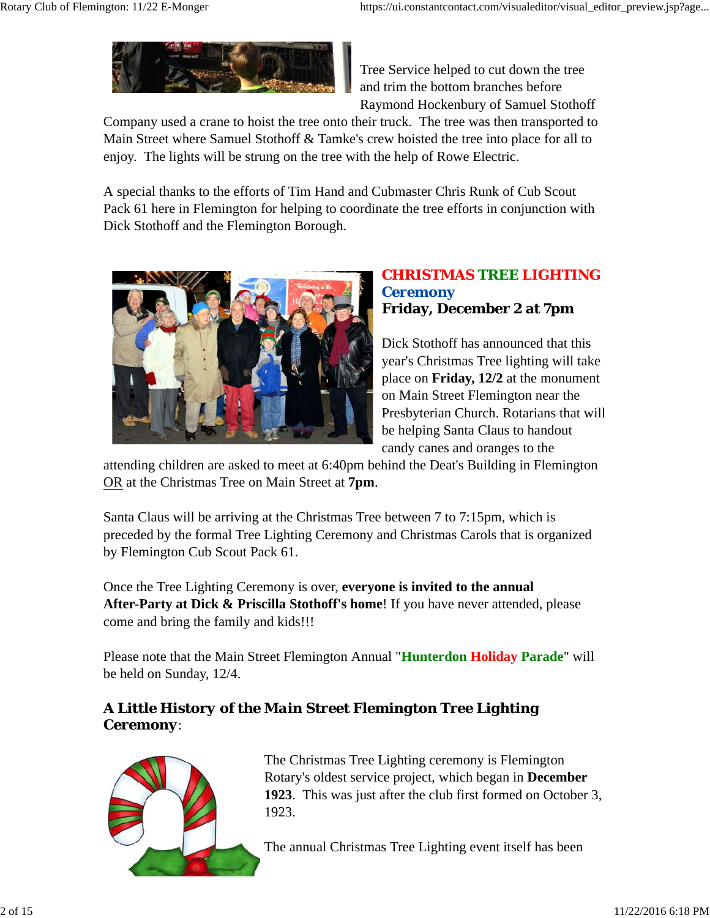

Tree Service helped to cut down the tree and trim the bottom branches before Raymond Hockenbury of Samuel Stothoff

Company used a crane to hoist the tree onto their truck. The tree was then transported to Main Street where Samuel Stothoff & Tamke's crew hoisted the tree into place for all to enjoy. The lights will be strung on the tree with the help of Rowe Electric.

A special thanks to the efforts of Tim Hand and Cubmaster Chris Runk of Cub Scout Pack 61 here in Flemington for helping to coordinate the tree efforts in conjunction with Dick Stothoff and the Flemington Borough.



# *CHRISTMAS TREE LIGHTING Ceremony* **Friday, December 2 at 7pm**

Dick Stothoff has announced that this year's Christmas Tree lighting will take place on **Friday, 12/2** at the monument on Main Street Flemington near the Presbyterian Church. Rotarians that will be helping Santa Claus to handout candy canes and oranges to the

attending children are asked to meet at 6:40pm behind the Deat's Building in Flemington OR at the Christmas Tree on Main Street at **7pm**.

Santa Claus will be arriving at the Christmas Tree between 7 to 7:15pm, which is preceded by the formal Tree Lighting Ceremony and Christmas Carols that is organized by Flemington Cub Scout Pack 61.

Once the Tree Lighting Ceremony is over, **everyone is invited to the annual After-Party at Dick & Priscilla Stothoff's home**! If you have never attended, please come and bring the family and kids!!!

Please note that the Main Street Flemington Annual "**Hunterdon Holiday Parade**" will be held on Sunday, 12/4.

# *A Little History of the Main Street Flemington Tree Lighting Ceremony*:



The Christmas Tree Lighting ceremony is Flemington Rotary's oldest service project, which began in **December 1923**. This was just after the club first formed on October 3, 1923.

The annual Christmas Tree Lighting event itself has been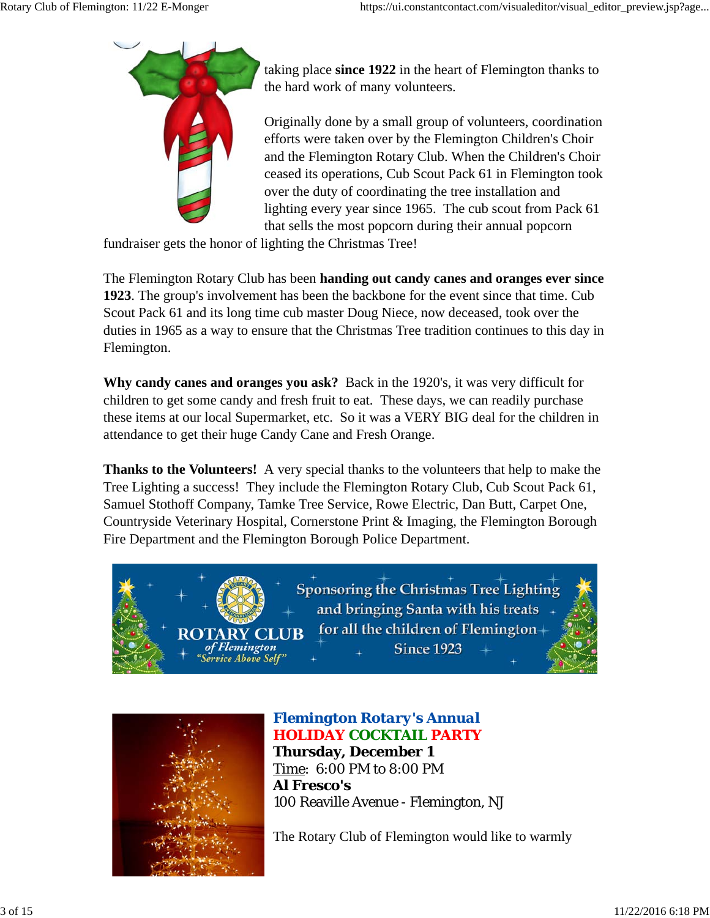

taking place **since 1922** in the heart of Flemington thanks to the hard work of many volunteers.

Originally done by a small group of volunteers, coordination efforts were taken over by the Flemington Children's Choir and the Flemington Rotary Club. When the Children's Choir ceased its operations, Cub Scout Pack 61 in Flemington took over the duty of coordinating the tree installation and lighting every year since 1965. The cub scout from Pack 61 that sells the most popcorn during their annual popcorn

fundraiser gets the honor of lighting the Christmas Tree!

The Flemington Rotary Club has been **handing out candy canes and oranges ever since 1923**. The group's involvement has been the backbone for the event since that time. Cub Scout Pack 61 and its long time cub master Doug Niece, now deceased, took over the duties in 1965 as a way to ensure that the Christmas Tree tradition continues to this day in Flemington.

**Why candy canes and oranges you ask?** Back in the 1920's, it was very difficult for children to get some candy and fresh fruit to eat. These days, we can readily purchase these items at our local Supermarket, etc. So it was a VERY BIG deal for the children in attendance to get their huge Candy Cane and Fresh Orange.

**Thanks to the Volunteers!** A very special thanks to the volunteers that help to make the Tree Lighting a success! They include the Flemington Rotary Club, Cub Scout Pack 61, Samuel Stothoff Company, Tamke Tree Service, Rowe Electric, Dan Butt, Carpet One, Countryside Veterinary Hospital, Cornerstone Print & Imaging, the Flemington Borough Fire Department and the Flemington Borough Police Department.





# *Flemington Rotary's Annual* **HOLIDAY COCKTAIL PARTY**

**Thursday, December 1** Time: 6:00 PM to 8:00 PM **Al Fresco's** 100 Reaville Avenue - Flemington, NJ

The Rotary Club of Flemington would like to warmly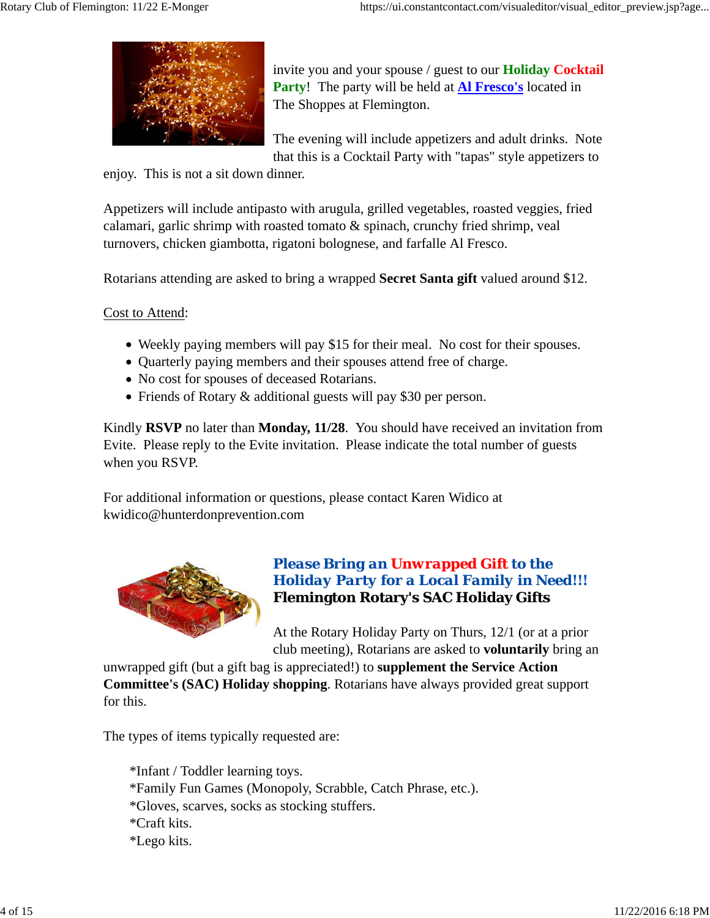

invite you and your spouse / guest to our **Holiday Cocktail Party**! The party will be held at **Al Fresco's** located in The Shoppes at Flemington.

The evening will include appetizers and adult drinks. Note that this is a Cocktail Party with "tapas" style appetizers to

enjoy. This is not a sit down dinner.

Appetizers will include antipasto with arugula, grilled vegetables, roasted veggies, fried calamari, garlic shrimp with roasted tomato & spinach, crunchy fried shrimp, veal turnovers, chicken giambotta, rigatoni bolognese, and farfalle Al Fresco.

Rotarians attending are asked to bring a wrapped **Secret Santa gift** valued around \$12.

Cost to Attend:

- Weekly paying members will pay \$15 for their meal. No cost for their spouses.
- Quarterly paying members and their spouses attend free of charge.
- No cost for spouses of deceased Rotarians.
- Friends of Rotary & additional guests will pay \$30 per person.

Kindly **RSVP** no later than **Monday, 11/28**. You should have received an invitation from Evite. Please reply to the Evite invitation. Please indicate the total number of guests when you RSVP.

For additional information or questions, please contact Karen Widico at kwidico@hunterdonprevention.com



# *Please Bring an Unwrapped Gift to the Holiday Party for a Local Family in Need!!!* **Flemington Rotary's SAC Holiday Gifts**

At the Rotary Holiday Party on Thurs, 12/1 (or at a prior club meeting), Rotarians are asked to **voluntarily** bring an

unwrapped gift (but a gift bag is appreciated!) to **supplement the Service Action Committee's (SAC) Holiday shopping**. Rotarians have always provided great support for this.

The types of items typically requested are:

\*Infant / Toddler learning toys. \*Family Fun Games (Monopoly, Scrabble, Catch Phrase, etc.). \*Gloves, scarves, socks as stocking stuffers. \*Craft kits. \*Lego kits.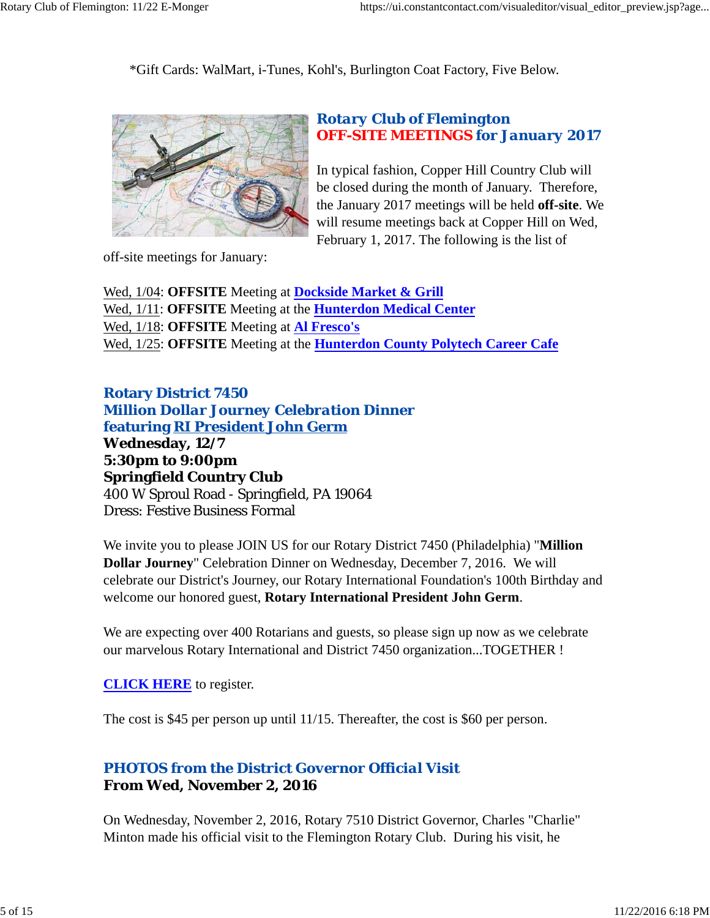\*Gift Cards: WalMart, i-Tunes, Kohl's, Burlington Coat Factory, Five Below.



## *Rotary Club of Flemington OFF-SITE MEETINGS for January 2017*

In typical fashion, Copper Hill Country Club will be closed during the month of January. Therefore, the January 2017 meetings will be held **off-site**. We will resume meetings back at Copper Hill on Wed, February 1, 2017. The following is the list of

off-site meetings for January:

Wed, 1/04: **OFFSITE** Meeting at **Dockside Market & Grill** Wed, 1/11: **OFFSITE** Meeting at the **Hunterdon Medical Center** Wed, 1/18: **OFFSITE** Meeting at **Al Fresco's** Wed, 1/25: **OFFSITE** Meeting at the **Hunterdon County Polytech Career Cafe**

**Rotary District 7450** *Million Dollar Journey Celebration Dinner* **featuring RI President John Germ Wednesday, 12/7 5:30pm to 9:00pm Springfield Country Club** 400 W Sproul Road - Springfield, PA 19064 Dress: Festive Business Formal

We invite you to please JOIN US for our Rotary District 7450 (Philadelphia) "**Million Dollar Journey**" Celebration Dinner on Wednesday, December 7, 2016. We will celebrate our District's Journey, our Rotary International Foundation's 100th Birthday and welcome our honored guest, **Rotary International President John Germ**.

We are expecting over 400 Rotarians and guests, so please sign up now as we celebrate our marvelous Rotary International and District 7450 organization...TOGETHER !

**CLICK HERE** to register.

The cost is \$45 per person up until 11/15. Thereafter, the cost is \$60 per person.

# *PHOTOS from the District Governor Official Visit* **From Wed, November 2, 2016**

On Wednesday, November 2, 2016, Rotary 7510 District Governor, Charles "Charlie" Minton made his official visit to the Flemington Rotary Club. During his visit, he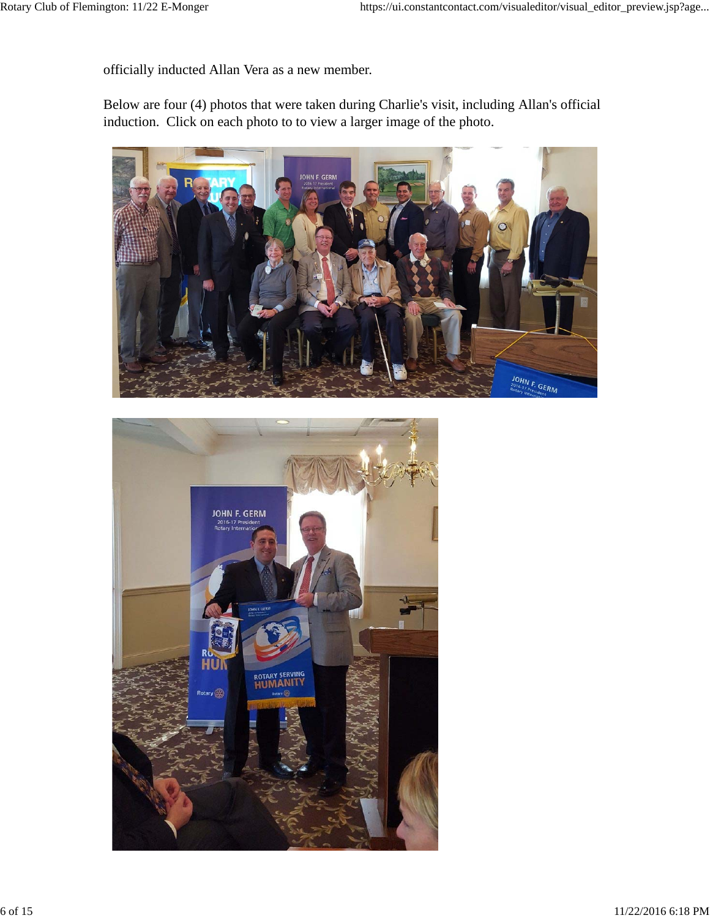officially inducted Allan Vera as a new member.

Below are four (4) photos that were taken during Charlie's visit, including Allan's official induction. Click on each photo to to view a larger image of the photo.



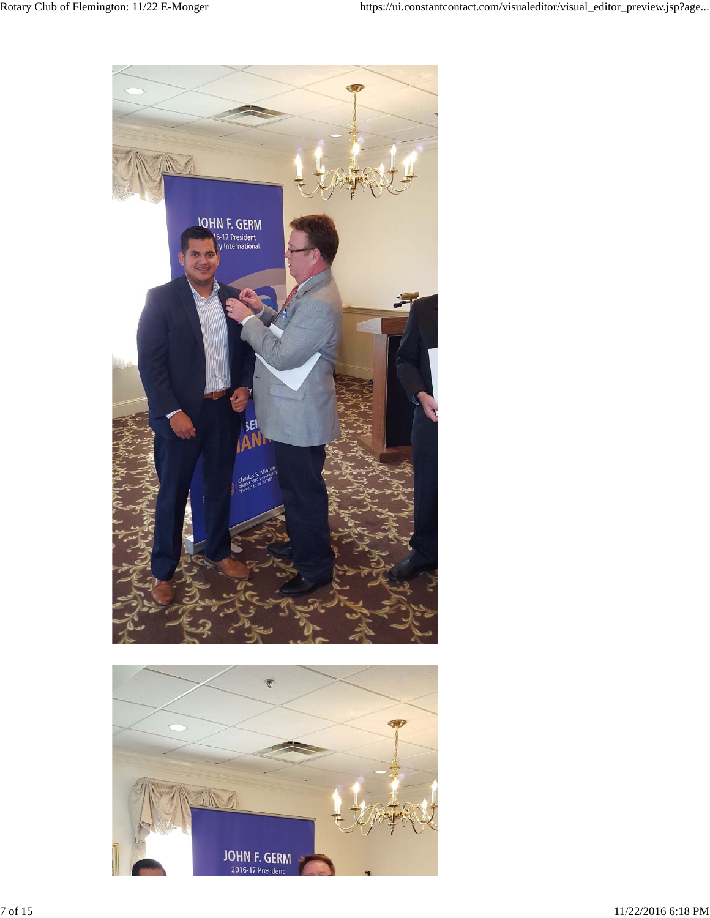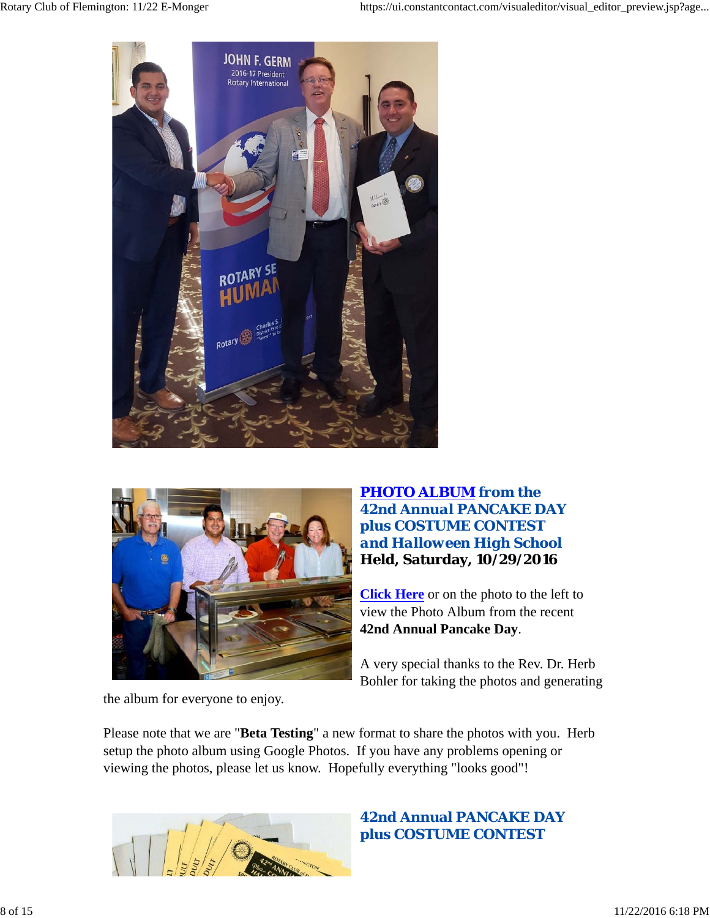



## *PHOTO ALBUM from the 42nd Annual PANCAKE DAY plus COSTUME CONTEST and Halloween High School* **Held, Saturday, 10/29/2016**

**Click Here** or on the photo to the left to view the Photo Album from the recent **42nd Annual Pancake Day**.

A very special thanks to the Rev. Dr. Herb Bohler for taking the photos and generating

the album for everyone to enjoy.

Please note that we are "**Beta Testing**" a new format to share the photos with you. Herb setup the photo album using Google Photos. If you have any problems opening or viewing the photos, please let us know. Hopefully everything "looks good"!



# **42nd Annual PANCAKE DAY plus COSTUME CONTEST**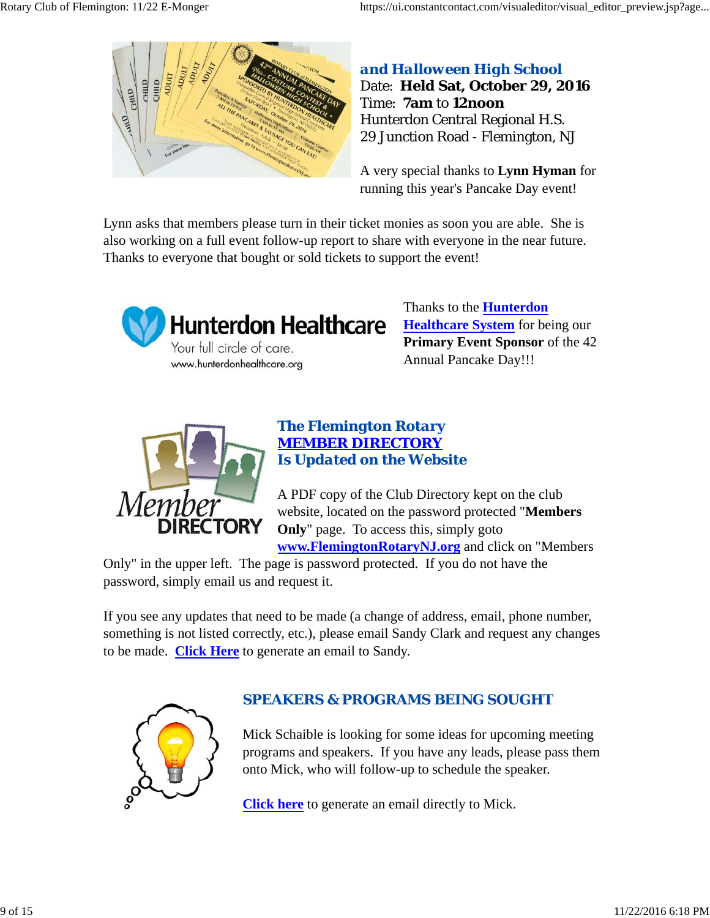

# *and Halloween High School*

Date: **Held Sat, October 29, 2016** Time: **7am** to **12noon** Hunterdon Central Regional H.S. 29 Junction Road - Flemington, NJ

A very special thanks to **Lynn Hyman** for running this year's Pancake Day event!

Lynn asks that members please turn in their ticket monies as soon you are able. She is also working on a full event follow-up report to share with everyone in the near future. Thanks to everyone that bought or sold tickets to support the event!



Thanks to the **Hunterdon Healthcare System** for being our **Primary Event Sponsor** of the 42 Annual Pancake Day!!!



## *The Flemington Rotary MEMBER DIRECTORY Is Updated on the Website*

A PDF copy of the Club Directory kept on the club website, located on the password protected "**Members Only**" page. To access this, simply goto **www.FlemingtonRotaryNJ.org** and click on "Members

Only" in the upper left. The page is password protected. If you do not have the password, simply email us and request it.

If you see any updates that need to be made (a change of address, email, phone number, something is not listed correctly, etc.), please email Sandy Clark and request any changes to be made. **Click Here** to generate an email to Sandy.



# *SPEAKERS & PROGRAMS BEING SOUGHT*

Mick Schaible is looking for some ideas for upcoming meeting programs and speakers. If you have any leads, please pass them onto Mick, who will follow-up to schedule the speaker.

**Click here** to generate an email directly to Mick.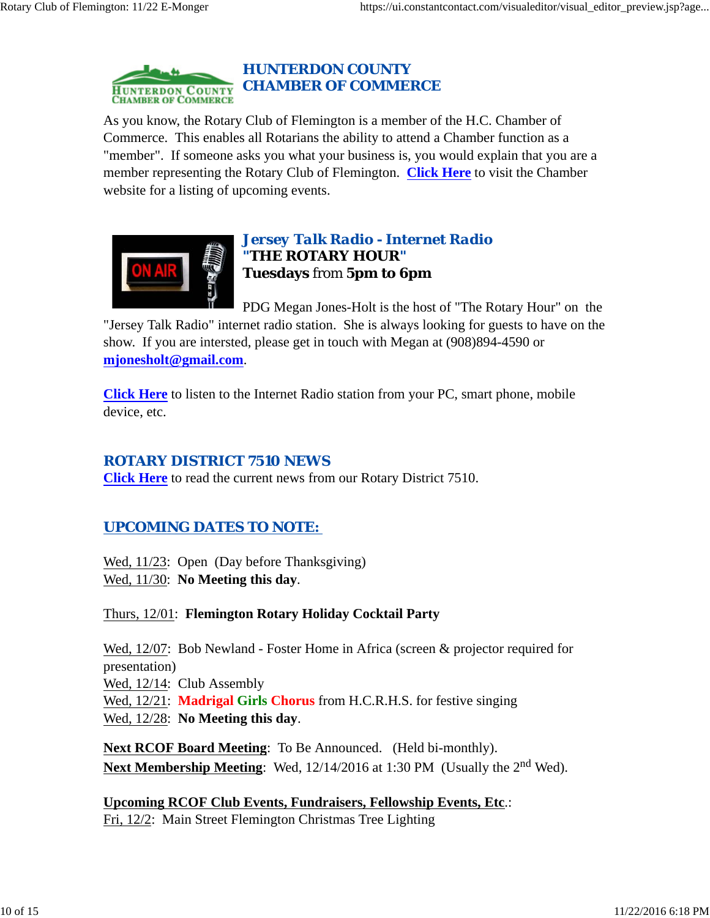

As you know, the Rotary Club of Flemington is a member of the H.C. Chamber of Commerce. This enables all Rotarians the ability to attend a Chamber function as a "member". If someone asks you what your business is, you would explain that you are a member representing the Rotary Club of Flemington. **Click Here** to visit the Chamber website for a listing of upcoming events.



## *Jersey Talk Radio - Internet Radio "THE ROTARY HOUR"* **Tuesdays** from **5pm to 6pm**

PDG Megan Jones-Holt is the host of "The Rotary Hour" on the "Jersey Talk Radio" internet radio station. She is always looking for guests to have on the show. If you are intersted, please get in touch with Megan at (908)894-4590 or **mjonesholt@gmail.com**.

**Click Here** to listen to the Internet Radio station from your PC, smart phone, mobile device, etc.

## *ROTARY DISTRICT 7510 NEWS*

**Click Here** to read the current news from our Rotary District 7510.

# *UPCOMING DATES TO NOTE:*

Wed, 11/23: Open (Day before Thanksgiving) Wed, 11/30: **No Meeting this day**.

Thurs, 12/01: **Flemington Rotary Holiday Cocktail Party**

Wed, 12/07: Bob Newland - Foster Home in Africa (screen & projector required for presentation) Wed, 12/14: Club Assembly

Wed, 12/21: **Madrigal Girls Chorus** from H.C.R.H.S. for festive singing Wed, 12/28: **No Meeting this day**.

**Next RCOF Board Meeting**: To Be Announced. (Held bi-monthly). **Next Membership Meeting:** Wed, 12/14/2016 at 1:30 PM (Usually the 2<sup>nd</sup> Wed).

**Upcoming RCOF Club Events, Fundraisers, Fellowship Events, Etc**.: Fri, 12/2: Main Street Flemington Christmas Tree Lighting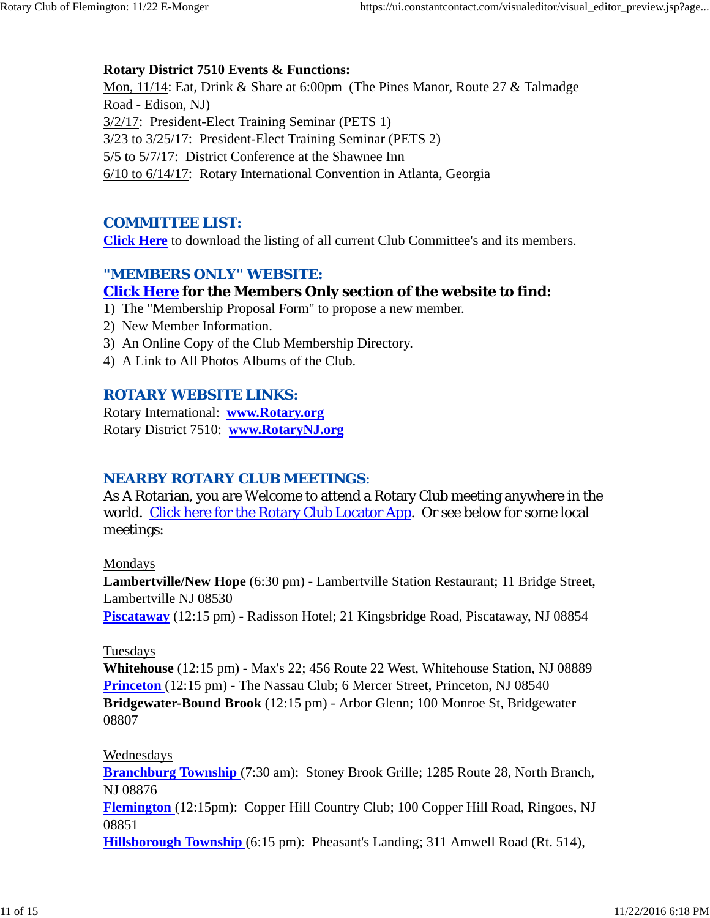#### **Rotary District 7510 Events & Functions:**

Mon, 11/14: Eat, Drink & Share at 6:00pm (The Pines Manor, Route 27 & Talmadge Road - Edison, NJ) 3/2/17: President-Elect Training Seminar (PETS 1) 3/23 to 3/25/17: President-Elect Training Seminar (PETS 2) 5/5 to 5/7/17: District Conference at the Shawnee Inn 6/10 to 6/14/17: Rotary International Convention in Atlanta, Georgia

#### *COMMITTEE LIST:*

**Click Here** to download the listing of all current Club Committee's and its members.

#### *"MEMBERS ONLY" WEBSITE:*

#### **Click Here for the Members Only section of the website to find:**

- 1) The "Membership Proposal Form" to propose a new member.
- 2) New Member Information.
- 3) An Online Copy of the Club Membership Directory.
- 4) A Link to All Photos Albums of the Club.

#### *ROTARY WEBSITE LINKS:*

Rotary International: **www.Rotary.org** Rotary District 7510: **www.RotaryNJ.org**

#### *NEARBY ROTARY CLUB MEETINGS:*

As A Rotarian, you are Welcome to attend a Rotary Club meeting anywhere in the world. Click here for the Rotary Club Locator App. Or see below for some local meetings:

#### Mondays

**Lambertville/New Hope** (6:30 pm) - Lambertville Station Restaurant; 11 Bridge Street, Lambertville NJ 08530

**Piscataway** (12:15 pm) - Radisson Hotel; 21 Kingsbridge Road, Piscataway, NJ 08854

#### Tuesdays

**Whitehouse** (12:15 pm) - Max's 22; 456 Route 22 West, Whitehouse Station, NJ 08889 **Princeton** (12:15 pm) - The Nassau Club; 6 Mercer Street, Princeton, NJ 08540 **Bridgewater-Bound Brook** (12:15 pm) - Arbor Glenn; 100 Monroe St, Bridgewater 08807

#### Wednesdays

**Branchburg Township** (7:30 am): Stoney Brook Grille; 1285 Route 28, North Branch, NJ 08876 **Flemington** (12:15pm): Copper Hill Country Club; 100 Copper Hill Road, Ringoes, NJ 08851 **Hillsborough Township** (6:15 pm): Pheasant's Landing; 311 Amwell Road (Rt. 514),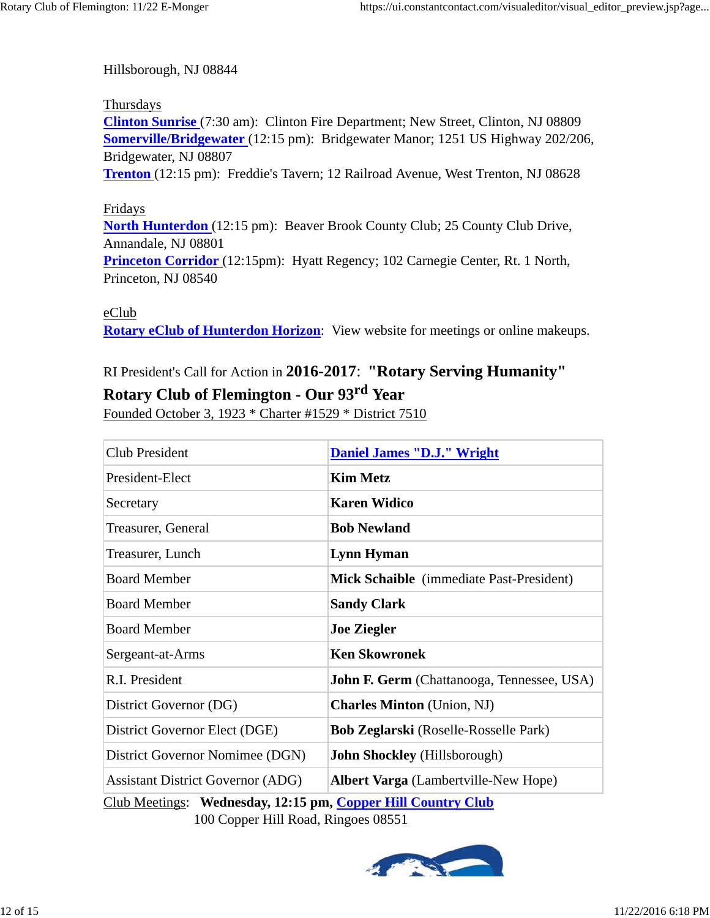Hillsborough, NJ 08844

#### Thursdays

**Clinton Sunrise** (7:30 am): Clinton Fire Department; New Street, Clinton, NJ 08809 **Somerville/Bridgewater** (12:15 pm): Bridgewater Manor; 1251 US Highway 202/206, Bridgewater, NJ 08807 **Trenton** (12:15 pm): Freddie's Tavern; 12 Railroad Avenue, West Trenton, NJ 08628

## Fridays

**North Hunterdon** (12:15 pm): Beaver Brook County Club; 25 County Club Drive, Annandale, NJ 08801 **Princeton Corridor** (12:15pm): Hyatt Regency; 102 Carnegie Center, Rt. 1 North,

Princeton, NJ 08540

eClub

**Rotary eClub of Hunterdon Horizon**: View website for meetings or online makeups.

# RI President's Call for Action in **2016-2017**: **"Rotary Serving Humanity"**

# **Rotary Club of Flemington - Our 93rd Year**

Founded October 3, 1923 \* Charter #1529 \* District 7510

| <b>Club President</b>                                        | <b>Daniel James "D.J." Wright</b>                 |  |  |
|--------------------------------------------------------------|---------------------------------------------------|--|--|
| President-Elect                                              | <b>Kim Metz</b>                                   |  |  |
| Secretary                                                    | <b>Karen Widico</b>                               |  |  |
| Treasurer, General                                           | <b>Bob Newland</b>                                |  |  |
| Treasurer, Lunch                                             | Lynn Hyman                                        |  |  |
| <b>Board Member</b>                                          | Mick Schaible (immediate Past-President)          |  |  |
| <b>Board Member</b>                                          | <b>Sandy Clark</b>                                |  |  |
| <b>Board Member</b>                                          | <b>Joe Ziegler</b>                                |  |  |
| Sergeant-at-Arms                                             | <b>Ken Skowronek</b>                              |  |  |
| R.I. President                                               | <b>John F. Germ</b> (Chattanooga, Tennessee, USA) |  |  |
| District Governor (DG)                                       | <b>Charles Minton</b> (Union, NJ)                 |  |  |
| District Governor Elect (DGE)                                | <b>Bob Zeglarski</b> (Roselle-Rosselle Park)      |  |  |
| District Governor Nomimee (DGN)                              | <b>John Shockley</b> (Hillsborough)               |  |  |
| <b>Assistant District Governor (ADG)</b>                     | <b>Albert Varga</b> (Lambertville-New Hope)       |  |  |
| Club Meetings: Wednesday, 12:15 pm, Copper Hill Country Club |                                                   |  |  |

100 Copper Hill Road, Ringoes 08551

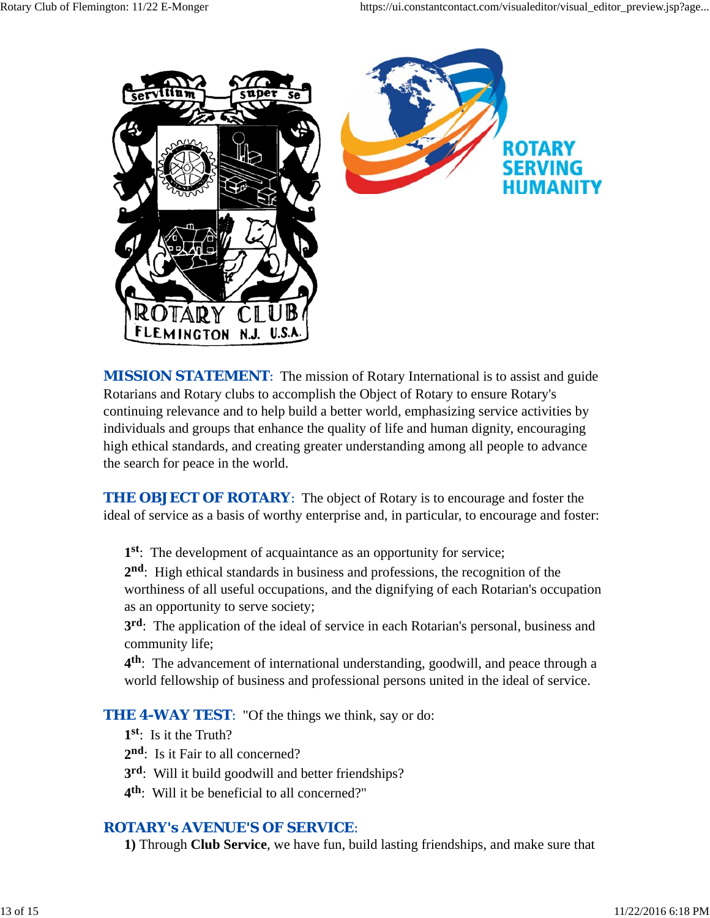

*MISSION STATEMENT*: The mission of Rotary International is to assist and guide Rotarians and Rotary clubs to accomplish the Object of Rotary to ensure Rotary's continuing relevance and to help build a better world, emphasizing service activities by individuals and groups that enhance the quality of life and human dignity, encouraging high ethical standards, and creating greater understanding among all people to advance the search for peace in the world.

**THE OBJECT OF ROTARY:** The object of Rotary is to encourage and foster the ideal of service as a basis of worthy enterprise and, in particular, to encourage and foster:

**1st**: The development of acquaintance as an opportunity for service;

**2nd**: High ethical standards in business and professions, the recognition of the worthiness of all useful occupations, and the dignifying of each Rotarian's occupation as an opportunity to serve society;

**3rd**: The application of the ideal of service in each Rotarian's personal, business and community life;

**4th**: The advancement of international understanding, goodwill, and peace through a world fellowship of business and professional persons united in the ideal of service.

**THE 4-WAY TEST:** "Of the things we think, say or do:

**1st**: Is it the Truth?

2<sup>nd</sup>: Is it Fair to all concerned?

**3rd**: Will it build goodwill and better friendships?

**4th**: Will it be beneficial to all concerned?"

# *ROTARY's AVENUE'S OF SERVICE*:

**1)** Through **Club Service**, we have fun, build lasting friendships, and make sure that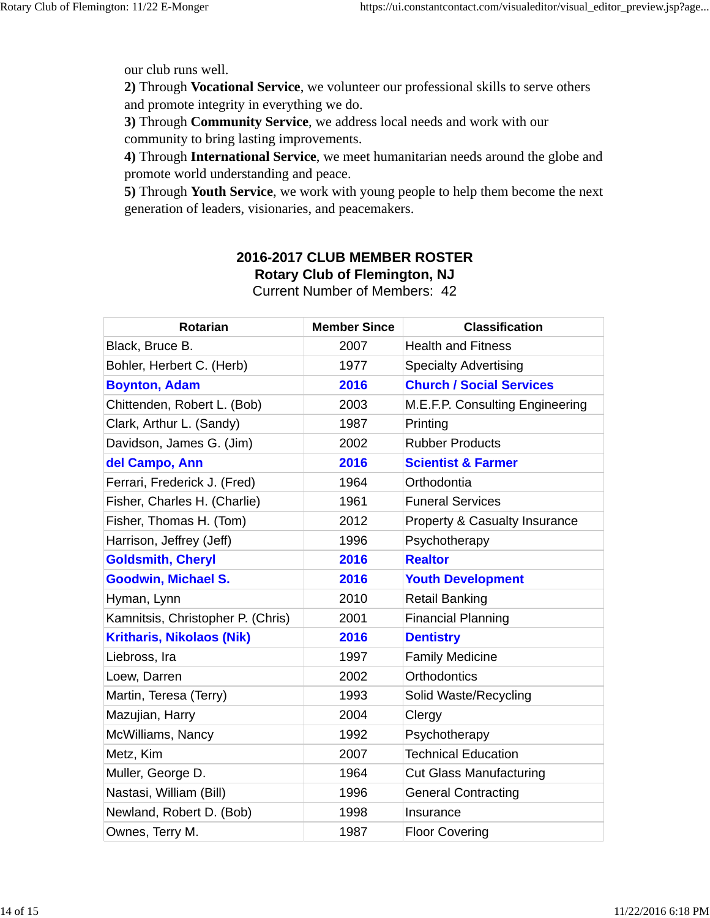our club runs well.

**2)** Through **Vocational Service**, we volunteer our professional skills to serve others and promote integrity in everything we do.

**3)** Through **Community Service**, we address local needs and work with our community to bring lasting improvements.

**4)** Through **International Service**, we meet humanitarian needs around the globe and promote world understanding and peace.

**5)** Through **Youth Service**, we work with young people to help them become the next generation of leaders, visionaries, and peacemakers.

# **2016-2017 CLUB MEMBER ROSTER Rotary Club of Flemington, NJ**

| <b>Rotarian</b>                   | <b>Member Since</b> | <b>Classification</b>           |
|-----------------------------------|---------------------|---------------------------------|
| Black, Bruce B.                   | 2007                | <b>Health and Fitness</b>       |
| Bohler, Herbert C. (Herb)         | 1977                | <b>Specialty Advertising</b>    |
| <b>Boynton, Adam</b>              | 2016                | <b>Church / Social Services</b> |
| Chittenden, Robert L. (Bob)       | 2003                | M.E.F.P. Consulting Engineering |
| Clark, Arthur L. (Sandy)          | 1987                | Printing                        |
| Davidson, James G. (Jim)          | 2002                | <b>Rubber Products</b>          |
| del Campo, Ann                    | 2016                | <b>Scientist &amp; Farmer</b>   |
| Ferrari, Frederick J. (Fred)      | 1964                | Orthodontia                     |
| Fisher, Charles H. (Charlie)      | 1961                | <b>Funeral Services</b>         |
| Fisher, Thomas H. (Tom)           | 2012                | Property & Casualty Insurance   |
| Harrison, Jeffrey (Jeff)          | 1996                | Psychotherapy                   |
| <b>Goldsmith, Cheryl</b>          | 2016                | <b>Realtor</b>                  |
| <b>Goodwin, Michael S.</b>        | 2016                | <b>Youth Development</b>        |
| Hyman, Lynn                       | 2010                | <b>Retail Banking</b>           |
| Kamnitsis, Christopher P. (Chris) | 2001                | <b>Financial Planning</b>       |
| <b>Kritharis, Nikolaos (Nik)</b>  | 2016                | <b>Dentistry</b>                |
| Liebross, Ira                     | 1997                | <b>Family Medicine</b>          |
| Loew, Darren                      | 2002                | <b>Orthodontics</b>             |
| Martin, Teresa (Terry)            | 1993                | Solid Waste/Recycling           |
| Mazujian, Harry                   | 2004                | Clergy                          |
| McWilliams, Nancy                 | 1992                | Psychotherapy                   |
| Metz, Kim                         | 2007                | <b>Technical Education</b>      |
| Muller, George D.                 | 1964                | <b>Cut Glass Manufacturing</b>  |
| Nastasi, William (Bill)           | 1996                | <b>General Contracting</b>      |
| Newland, Robert D. (Bob)          | 1998                | Insurance                       |
| Ownes, Terry M.                   | 1987                | <b>Floor Covering</b>           |

Current Number of Members: 42